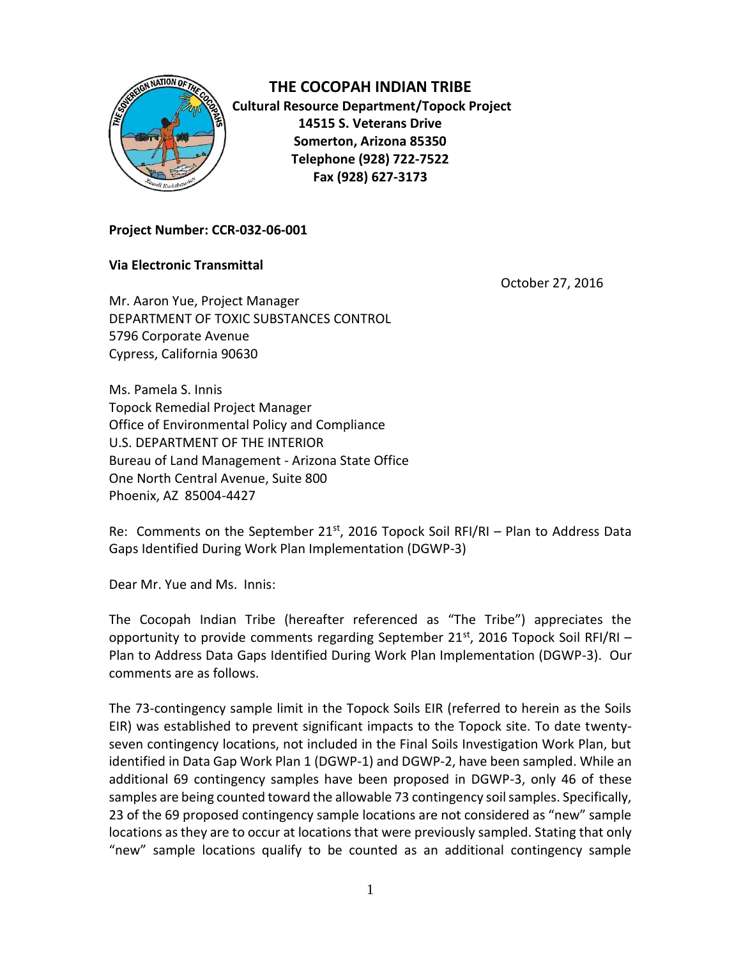

**THE COCOPAH INDIAN TRIBE Cultural Resource Department/Topock Project 14515 S. Veterans Drive Somerton, Arizona 85350 Telephone (928) 722-7522 Fax (928) 627-3173**

## **Project Number: CCR-032-06-001**

## **Via Electronic Transmittal**

October 27, 2016

Mr. Aaron Yue, Project Manager DEPARTMENT OF TOXIC SUBSTANCES CONTROL 5796 Corporate Avenue Cypress, California 90630

Ms. Pamela S. Innis Topock Remedial Project Manager Office of Environmental Policy and Compliance U.S. DEPARTMENT OF THE INTERIOR Bureau of Land Management - Arizona State Office One North Central Avenue, Suite 800 Phoenix, AZ 85004-4427

Re: Comments on the September 21<sup>st</sup>, 2016 Topock Soil RFI/RI – Plan to Address Data Gaps Identified During Work Plan Implementation (DGWP-3)

Dear Mr. Yue and Ms. Innis:

The Cocopah Indian Tribe (hereafter referenced as "The Tribe") appreciates the opportunity to provide comments regarding September 21 $st$ , 2016 Topock Soil RFI/RI – Plan to Address Data Gaps Identified During Work Plan Implementation (DGWP-3). Our comments are as follows.

The 73-contingency sample limit in the Topock Soils EIR (referred to herein as the Soils EIR) was established to prevent significant impacts to the Topock site. To date twentyseven contingency locations, not included in the Final Soils Investigation Work Plan, but identified in Data Gap Work Plan 1 (DGWP-1) and DGWP-2, have been sampled. While an additional 69 contingency samples have been proposed in DGWP-3, only 46 of these samples are being counted toward the allowable 73 contingency soil samples. Specifically, 23 of the 69 proposed contingency sample locations are not considered as "new" sample locations as they are to occur at locations that were previously sampled. Stating that only "new" sample locations qualify to be counted as an additional contingency sample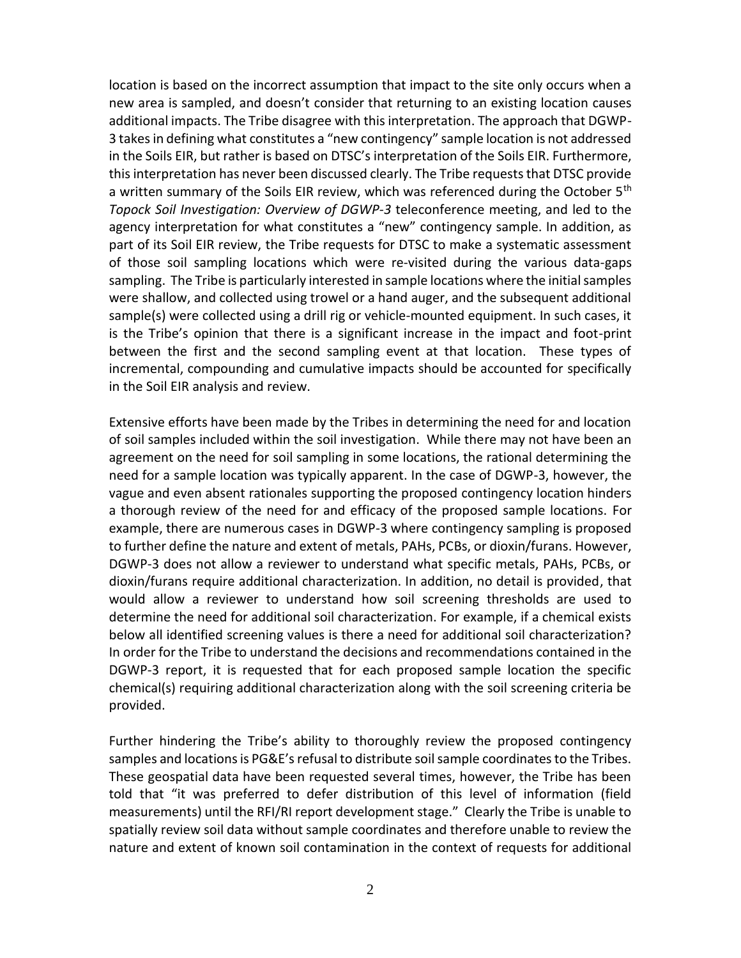location is based on the incorrect assumption that impact to the site only occurs when a new area is sampled, and doesn't consider that returning to an existing location causes additional impacts. The Tribe disagree with this interpretation. The approach that DGWP-3 takes in defining what constitutes a "new contingency" sample location is not addressed in the Soils EIR, but rather is based on DTSC's interpretation of the Soils EIR. Furthermore, this interpretation has never been discussed clearly. The Tribe requests that DTSC provide a written summary of the Soils EIR review, which was referenced during the October 5<sup>th</sup> *Topock Soil Investigation: Overview of DGWP-3* teleconference meeting, and led to the agency interpretation for what constitutes a "new" contingency sample. In addition, as part of its Soil EIR review, the Tribe requests for DTSC to make a systematic assessment of those soil sampling locations which were re-visited during the various data-gaps sampling. The Tribe is particularly interested in sample locations where the initial samples were shallow, and collected using trowel or a hand auger, and the subsequent additional sample(s) were collected using a drill rig or vehicle-mounted equipment. In such cases, it is the Tribe's opinion that there is a significant increase in the impact and foot-print between the first and the second sampling event at that location. These types of incremental, compounding and cumulative impacts should be accounted for specifically in the Soil EIR analysis and review.

Extensive efforts have been made by the Tribes in determining the need for and location of soil samples included within the soil investigation. While there may not have been an agreement on the need for soil sampling in some locations, the rational determining the need for a sample location was typically apparent. In the case of DGWP-3, however, the vague and even absent rationales supporting the proposed contingency location hinders a thorough review of the need for and efficacy of the proposed sample locations. For example, there are numerous cases in DGWP-3 where contingency sampling is proposed to further define the nature and extent of metals, PAHs, PCBs, or dioxin/furans. However, DGWP-3 does not allow a reviewer to understand what specific metals, PAHs, PCBs, or dioxin/furans require additional characterization. In addition, no detail is provided, that would allow a reviewer to understand how soil screening thresholds are used to determine the need for additional soil characterization. For example, if a chemical exists below all identified screening values is there a need for additional soil characterization? In order for the Tribe to understand the decisions and recommendations contained in the DGWP-3 report, it is requested that for each proposed sample location the specific chemical(s) requiring additional characterization along with the soil screening criteria be provided.

Further hindering the Tribe's ability to thoroughly review the proposed contingency samples and locations is PG&E's refusal to distribute soil sample coordinates to the Tribes. These geospatial data have been requested several times, however, the Tribe has been told that "it was preferred to defer distribution of this level of information (field measurements) until the RFI/RI report development stage." Clearly the Tribe is unable to spatially review soil data without sample coordinates and therefore unable to review the nature and extent of known soil contamination in the context of requests for additional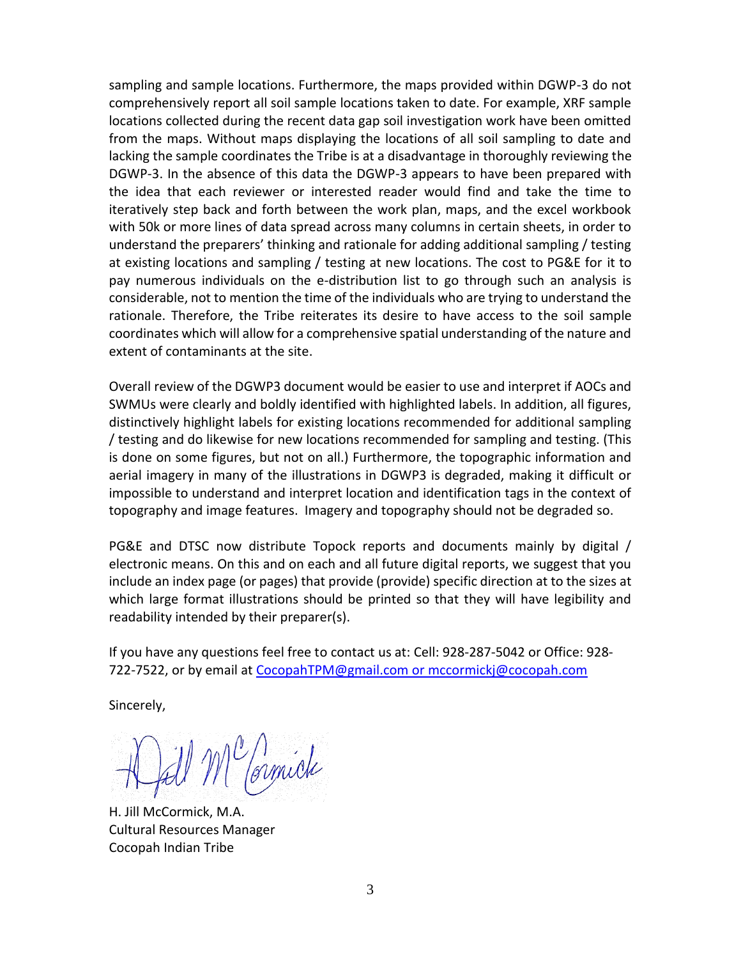sampling and sample locations. Furthermore, the maps provided within DGWP-3 do not comprehensively report all soil sample locations taken to date. For example, XRF sample locations collected during the recent data gap soil investigation work have been omitted from the maps. Without maps displaying the locations of all soil sampling to date and lacking the sample coordinates the Tribe is at a disadvantage in thoroughly reviewing the DGWP-3. In the absence of this data the DGWP-3 appears to have been prepared with the idea that each reviewer or interested reader would find and take the time to iteratively step back and forth between the work plan, maps, and the excel workbook with 50k or more lines of data spread across many columns in certain sheets, in order to understand the preparers' thinking and rationale for adding additional sampling / testing at existing locations and sampling / testing at new locations. The cost to PG&E for it to pay numerous individuals on the e-distribution list to go through such an analysis is considerable, not to mention the time of the individuals who are trying to understand the rationale. Therefore, the Tribe reiterates its desire to have access to the soil sample coordinates which will allow for a comprehensive spatial understanding of the nature and extent of contaminants at the site.

Overall review of the DGWP3 document would be easier to use and interpret if AOCs and SWMUs were clearly and boldly identified with highlighted labels. In addition, all figures, distinctively highlight labels for existing locations recommended for additional sampling / testing and do likewise for new locations recommended for sampling and testing. (This is done on some figures, but not on all.) Furthermore, the topographic information and aerial imagery in many of the illustrations in DGWP3 is degraded, making it difficult or impossible to understand and interpret location and identification tags in the context of topography and image features. Imagery and topography should not be degraded so.

PG&E and DTSC now distribute Topock reports and documents mainly by digital / electronic means. On this and on each and all future digital reports, we suggest that you include an index page (or pages) that provide (provide) specific direction at to the sizes at which large format illustrations should be printed so that they will have legibility and readability intended by their preparer(s).

If you have any questions feel free to contact us at: Cell: 928-287-5042 or Office: 928- 722-7522, or by email at [CocopahTPM@gmail.com](mailto:CocopahTPM@gmail.com) or mccormickj@cocopah.com

Sincerely,

M<sup>er</sup>formick

H. Jill McCormick, M.A. Cultural Resources Manager Cocopah Indian Tribe